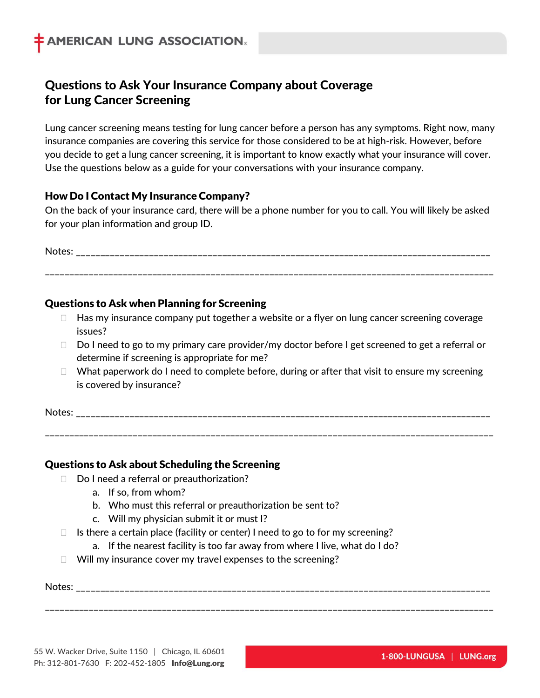# **Questions to Ask Your Insurance Company about Coverage for Lung Cancer Screening**

Lung cancer screening means testing for lung cancer before a person has any symptoms. Right now, many insurance companies are covering this service for those considered to be at high-risk. However, before you decide to get a lung cancer screening, it is important to know exactly what your insurance will cover. Use the questions below as a guide for your conversations with your insurance company.

## **How Do I Contact My Insurance Company?**

On the back of your insurance card, there will be a phone number for you to call. You will likely be asked for your plan information and group ID.

Notes: \_\_\_\_\_\_\_\_\_\_\_\_\_\_\_\_\_\_\_\_\_\_\_\_\_\_\_\_\_\_\_\_\_\_\_\_\_\_\_\_\_\_\_\_\_\_\_\_\_\_\_\_\_\_\_\_\_\_\_\_\_\_\_\_\_\_\_\_\_\_\_\_\_\_\_\_\_\_\_\_\_\_\_\_\_ \_\_\_\_\_\_\_\_\_\_\_\_\_\_\_\_\_\_\_\_\_\_\_\_\_\_\_\_\_\_\_\_\_\_\_\_\_\_\_\_\_\_\_\_\_\_\_\_\_\_\_\_\_\_\_\_\_\_\_\_\_\_\_\_\_\_\_\_\_\_\_\_\_\_\_\_\_\_\_\_\_\_\_\_\_\_\_\_\_\_\_\_

## **Questions to Ask when Planning for Screening**

- $\Box$  Has my insurance company put together a website or a flyer on lung cancer screening coverage issues?
- $\Box$  Do I need to go to my primary care provider/my doctor before I get screened to get a referral or determine if screening is appropriate for me?
- $\Box$  What paperwork do I need to complete before, during or after that visit to ensure my screening is covered by insurance?

Notes: \_\_\_\_\_\_\_\_\_\_\_\_\_\_\_\_\_\_\_\_\_\_\_\_\_\_\_\_\_\_\_\_\_\_\_\_\_\_\_\_\_\_\_\_\_\_\_\_\_\_\_\_\_\_\_\_\_\_\_\_\_\_\_\_\_\_\_\_\_\_\_\_\_\_\_\_\_\_\_\_\_\_\_\_\_

\_\_\_\_\_\_\_\_\_\_\_\_\_\_\_\_\_\_\_\_\_\_\_\_\_\_\_\_\_\_\_\_\_\_\_\_\_\_\_\_\_\_\_\_\_\_\_\_\_\_\_\_\_\_\_\_\_\_\_\_\_\_\_\_\_\_\_\_\_\_\_\_\_\_\_\_\_\_\_\_\_\_\_\_\_\_\_\_\_\_\_\_

\_\_\_\_\_\_\_\_\_\_\_\_\_\_\_\_\_\_\_\_\_\_\_\_\_\_\_\_\_\_\_\_\_\_\_\_\_\_\_\_\_\_\_\_\_\_\_\_\_\_\_\_\_\_\_\_\_\_\_\_\_\_\_\_\_\_\_\_\_\_\_\_\_\_\_\_\_\_\_\_\_\_\_\_\_\_\_\_\_\_\_\_

## **Questions to Ask about Scheduling the Screening**

- $\Box$  Do I need a referral or preauthorization?
	- a. If so, from whom?
	- b. Who must this referral or preauthorization be sent to?
	- c. Will my physician submit it or must I?
- $\Box$  Is there a certain place (facility or center) I need to go to for my screening?
	- a. If the nearest facility is too far away from where I live, what do I do?
- $\Box$  Will my insurance cover my travel expenses to the screening?

Notes: \_\_\_\_\_\_\_\_\_\_\_\_\_\_\_\_\_\_\_\_\_\_\_\_\_\_\_\_\_\_\_\_\_\_\_\_\_\_\_\_\_\_\_\_\_\_\_\_\_\_\_\_\_\_\_\_\_\_\_\_\_\_\_\_\_\_\_\_\_\_\_\_\_\_\_\_\_\_\_\_\_\_\_\_\_